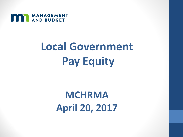

# **Local Government Pay Equity**

# **MCHRMA April 20, 2017**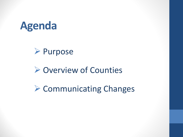

## **► Purpose**

# **► Overview of Counties**

 $\triangleright$  Communicating Changes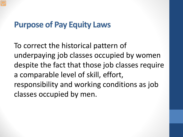# **Purpose of Pay Equity Laws**

To correct the historical pattern of underpaying job classes occupied by women despite the fact that those job classes require a comparable level of skill, effort, responsibility and working conditions as job classes occupied by men.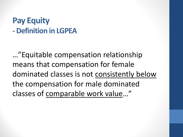# **Pay Equity - Definition in LGPEA**

…"Equitable compensation relationship means that compensation for female dominated classes is not consistently below the compensation for male dominated classes of comparable work value…"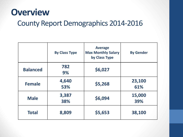# **Overview**

### County Report Demographics 2014-2016

|                 | <b>By Class Type</b> | <b>Average</b><br><b>Max Monthly Salary</b><br>by Class Type | <b>By Gender</b> |
|-----------------|----------------------|--------------------------------------------------------------|------------------|
| <b>Balanced</b> | 782<br>9%            | \$6,027                                                      |                  |
| <b>Female</b>   | 4,640<br>53%         | \$5,268                                                      | 23,100<br>61%    |
| <b>Male</b>     | 3,387<br>38%         | \$6,094                                                      | 15,000<br>39%    |
| <b>Total</b>    | 8,809                | \$5,653                                                      | 38,100           |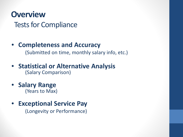### **Overview**

Tests for Compliance

### • **Completeness and Accuracy** (Submitted on time, monthly salary info, etc.)

• **Statistical or Alternative Analysis** (Salary Comparison)

• **Salary Range** (Years to Max)

### • **Exceptional Service Pay** (Longevity or Performance)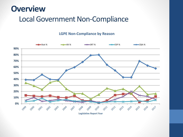## **Overview**

### Local Government Non-Compliance

#### **LGPE Non-Compliance by Reason**



**Legislative Report Year**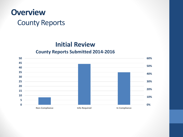

### **Initial Review**

#### **County Reports Submitted 2014-2016**

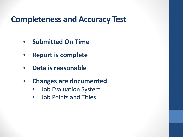# **Completeness and Accuracy Test**

- **Submitted On Time**
- **Report is complete**
- **Data is reasonable**
- **Changes are documented**
	- Job Evaluation System
	- Job Points and Titles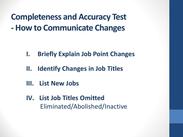**Completeness and Accuracy Test - How to Communicate Changes**

- **I. Briefly Explain Job Point Changes**
- **II. Identify Changes in Job Titles**
- **III. List New Jobs**
- **IV. List Job Titles Omitted** Eliminated/Abolished/Inactive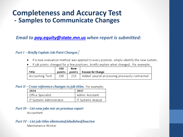### **Completeness and Accuracy Test - Samples to Communicate Changes**

#### *Email to [pay.equity@state.mn.us](mailto:pay.equity@state.mn.us) when report is submitted:*

#### Part I - Briefly Explain Job Point Changes

- If a new evaluation method was applied to every position, simply identify the new system.  $\bullet$
- If job points changed for a few positions, briefly explain what changed. For example:

|                   | Old | New |                                                      |
|-------------------|-----|-----|------------------------------------------------------|
| Title             |     |     | points   points   Reason for Change:                 |
| ' Accounting Tech | 198 |     | 213   Added payroll processing previously contracted |

#### Part II-Cross-reference changes to job titles. For example:

| 2014                     | 2017                      |  |  |
|--------------------------|---------------------------|--|--|
| Office Specialist        | ' Admin Assistant         |  |  |
| IT Systems Administrator | <b>IT Systems Analyst</b> |  |  |

#### Part III - List new jobs not on previous report

Accountant

#### Part IV-List job titles eliminated/abolished/inactive

Maintenance Worker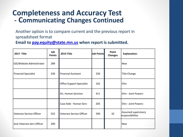### **Completeness and Accuracy Test - Communicating Changes Continued**

Another option is to compare current and the previous report in spreadsheet format

**Email to [pay.equity@state.mn.us](mailto:pay.equity@state.mn.us) when report is submitted.**

| <b>2017 Title</b>                 | Job<br><b>Points</b> | 2014 Title                       | Job Points | Point<br><b>Changes</b> | <b>Explanation:</b>                     |
|-----------------------------------|----------------------|----------------------------------|------------|-------------------------|-----------------------------------------|
| GIS/Website Administrator         | 289                  |                                  |            |                         | <b>New</b>                              |
| <b>Financial Specialist</b>       | 236                  | <b>Financial Assistant</b>       | 236        |                         | <b>Title Change</b>                     |
|                                   |                      | <b>Office Support Specialist</b> | 162        |                         | Elim                                    |
|                                   |                      | Dir, Human Services              | 411        |                         | Elim - Joint Powers                     |
|                                   |                      | Case Aide - Human Serv           | 205        |                         | Elim - Joint Powers                     |
| <b>Veterans Service Officer</b>   | 322                  | <b>Veterans Service Officer</b>  | 290        | 32                      | Assumed supervisory<br>responsibilities |
| <b>Asst Veterans Serv Officer</b> | 290                  |                                  |            |                         | <b>New</b>                              |